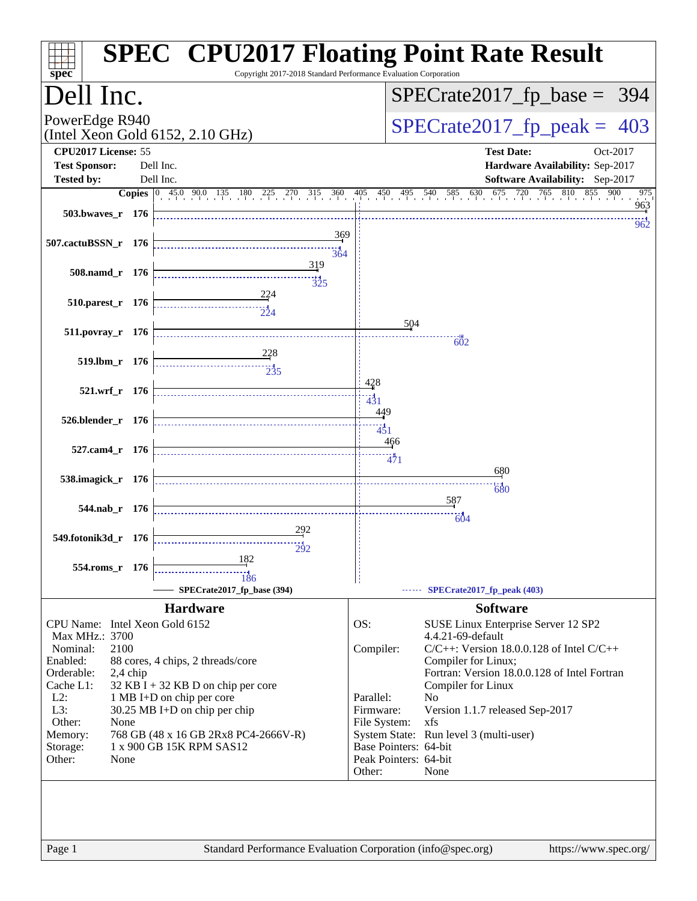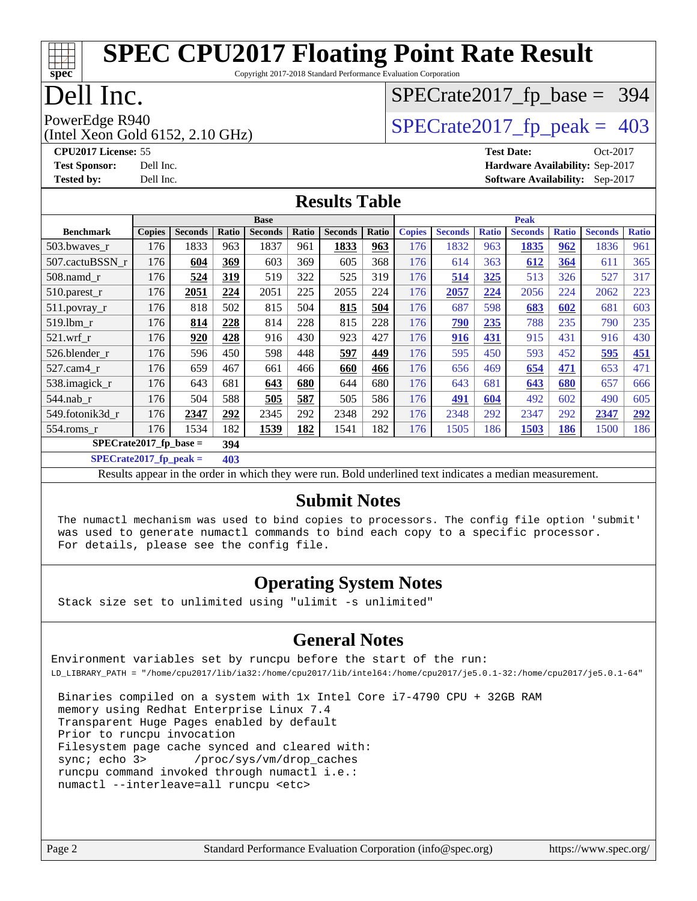Copyright 2017-2018 Standard Performance Evaluation Corporation

## Dell Inc.

**[spec](http://www.spec.org/)**

## (Intel Xeon Gold 6152, 2.10 GHz)

## [SPECrate2017\\_fp\\_base =](http://www.spec.org/auto/cpu2017/Docs/result-fields.html#SPECrate2017fpbase) 394

PowerEdge R940<br>(Intel Xeon Gold 6152, 2.10 GHz)  $\begin{array}{c|c}\n\text{SPECrate2017\_fp\_peak = 403}\n\end{array}$ 

**[CPU2017 License:](http://www.spec.org/auto/cpu2017/Docs/result-fields.html#CPU2017License)** 55 **[Test Date:](http://www.spec.org/auto/cpu2017/Docs/result-fields.html#TestDate)** Oct-2017 **[Test Sponsor:](http://www.spec.org/auto/cpu2017/Docs/result-fields.html#TestSponsor)** Dell Inc. **[Hardware Availability:](http://www.spec.org/auto/cpu2017/Docs/result-fields.html#HardwareAvailability)** Sep-2017 **[Tested by:](http://www.spec.org/auto/cpu2017/Docs/result-fields.html#Testedby)** Dell Inc. **[Software Availability:](http://www.spec.org/auto/cpu2017/Docs/result-fields.html#SoftwareAvailability)** Sep-2017

#### **[Results Table](http://www.spec.org/auto/cpu2017/Docs/result-fields.html#ResultsTable)**

|                                  | <b>Base</b>   |                |       |                | <b>Peak</b> |                |       |               |                |              |                |              |                |              |
|----------------------------------|---------------|----------------|-------|----------------|-------------|----------------|-------|---------------|----------------|--------------|----------------|--------------|----------------|--------------|
| <b>Benchmark</b>                 | <b>Copies</b> | <b>Seconds</b> | Ratio | <b>Seconds</b> | Ratio       | <b>Seconds</b> | Ratio | <b>Copies</b> | <b>Seconds</b> | <b>Ratio</b> | <b>Seconds</b> | <b>Ratio</b> | <b>Seconds</b> | <b>Ratio</b> |
| 503.bwaves_r                     | 176           | 1833           | 963   | 1837           | 961         | 1833           | 963   | 176           | 1832           | 963          | 1835           | 962          | 1836           | 961          |
| 507.cactuBSSN r                  | 176           | 604            | 369   | 603            | 369         | 605            | 368   | 176           | 614            | 363          | 612            | 364          | 611            | 365          |
| $508$ .namd $r$                  | 176           | 524            | 319   | 519            | 322         | 525            | 319   | 176           | 514            | 325          | 513            | 326          | 527            | 317          |
| 510.parest_r                     | 176           | 2051           | 224   | 2051           | 225         | 2055           | 224   | 176           | 2057           | 224          | 2056           | 224          | 2062           | 223          |
| 511.povray_r                     | 176           | 818            | 502   | 815            | 504         | 815            | 504   | 176           | 687            | 598          | 683            | 602          | 681            | 603          |
| 519.1bm_r                        | 176           | 814            | 228   | 814            | 228         | 815            | 228   | 176           | 790            | 235          | 788            | 235          | 790            | 235          |
| $521$ .wrf r                     | 176           | 920            | 428   | 916            | 430         | 923            | 427   | 176           | 916            | 431          | 915            | 431          | 916            | 430          |
| 526.blender r                    | 176           | 596            | 450   | 598            | 448         | 597            | 449   | 176           | 595            | 450          | 593            | 452          | 595            | 451          |
| 527.cam4_r                       | 176           | 659            | 467   | 661            | 466         | 660            | 466   | 176           | 656            | 469          | 654            | 471          | 653            | 471          |
| 538.imagick_r                    | 176           | 643            | 681   | 643            | 680         | 644            | 680   | 176           | 643            | 681          | 643            | 680          | 657            | 666          |
| 544.nab r                        | 176           | 504            | 588   | 505            | 587         | 505            | 586   | 176           | 491            | 604          | 492            | 602          | 490            | 605          |
| 549.fotonik3d r                  | 176           | 2347           | 292   | 2345           | 292         | 2348           | 292   | 176           | 2348           | 292          | 2347           | 292          | 2347           | 292          |
| $554$ .roms $r$                  | 176           | 1534           | 182   | 1539           | 182         | 1541           | 182   | 176           | 1505           | 186          | 1503           | <b>186</b>   | 1500           | 186          |
| $SPECrate2017_fp\_base =$<br>394 |               |                |       |                |             |                |       |               |                |              |                |              |                |              |

**[SPECrate2017\\_fp\\_peak =](http://www.spec.org/auto/cpu2017/Docs/result-fields.html#SPECrate2017fppeak) 403**

Results appear in the [order in which they were run](http://www.spec.org/auto/cpu2017/Docs/result-fields.html#RunOrder). Bold underlined text [indicates a median measurement](http://www.spec.org/auto/cpu2017/Docs/result-fields.html#Median).

#### **[Submit Notes](http://www.spec.org/auto/cpu2017/Docs/result-fields.html#SubmitNotes)**

 The numactl mechanism was used to bind copies to processors. The config file option 'submit' was used to generate numactl commands to bind each copy to a specific processor. For details, please see the config file.

### **[Operating System Notes](http://www.spec.org/auto/cpu2017/Docs/result-fields.html#OperatingSystemNotes)**

Stack size set to unlimited using "ulimit -s unlimited"

#### **[General Notes](http://www.spec.org/auto/cpu2017/Docs/result-fields.html#GeneralNotes)**

Environment variables set by runcpu before the start of the run: LD\_LIBRARY\_PATH = "/home/cpu2017/lib/ia32:/home/cpu2017/lib/intel64:/home/cpu2017/je5.0.1-32:/home/cpu2017/je5.0.1-64"

 Binaries compiled on a system with 1x Intel Core i7-4790 CPU + 32GB RAM memory using Redhat Enterprise Linux 7.4 Transparent Huge Pages enabled by default Prior to runcpu invocation Filesystem page cache synced and cleared with: sync; echo 3> /proc/sys/vm/drop\_caches runcpu command invoked through numactl i.e.: numactl --interleave=all runcpu <etc>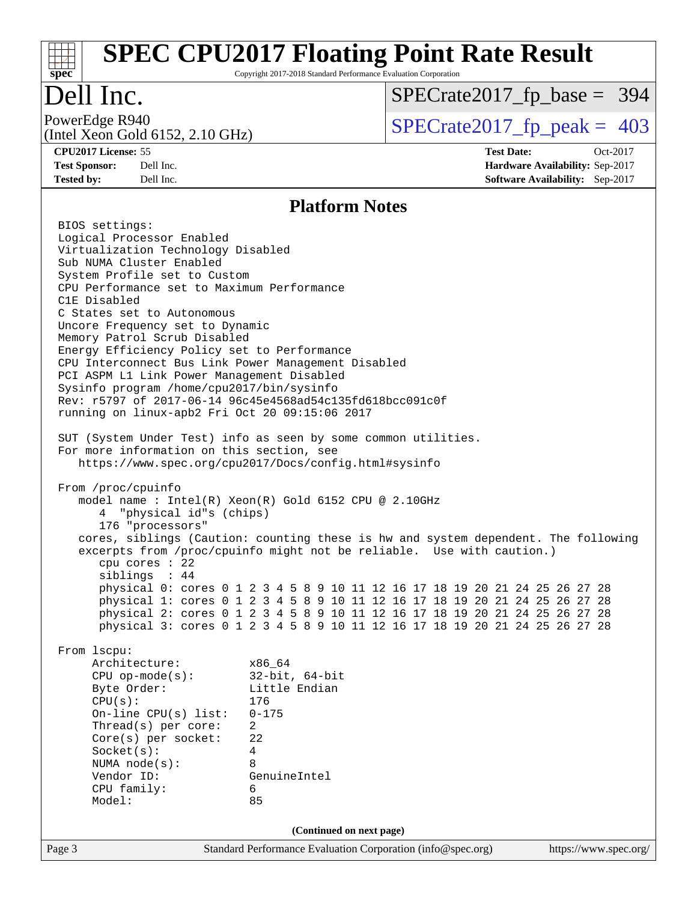# **[spec](http://www.spec.org/)**

## **[SPEC CPU2017 Floating Point Rate Result](http://www.spec.org/auto/cpu2017/Docs/result-fields.html#SPECCPU2017FloatingPointRateResult)**

Copyright 2017-2018 Standard Performance Evaluation Corporation

## Dell Inc.

(Intel Xeon Gold 6152, 2.10 GHz)

[SPECrate2017\\_fp\\_base =](http://www.spec.org/auto/cpu2017/Docs/result-fields.html#SPECrate2017fpbase) 394

PowerEdge R940<br>(Intel Xeon Gold 6152, 2.10 GHz)  $\begin{array}{c|c}\n\text{SPECrate2017\_fp\_peak = 403}\n\end{array}$ 

**[CPU2017 License:](http://www.spec.org/auto/cpu2017/Docs/result-fields.html#CPU2017License)** 55 **[Test Date:](http://www.spec.org/auto/cpu2017/Docs/result-fields.html#TestDate)** Oct-2017 **[Test Sponsor:](http://www.spec.org/auto/cpu2017/Docs/result-fields.html#TestSponsor)** Dell Inc. **[Hardware Availability:](http://www.spec.org/auto/cpu2017/Docs/result-fields.html#HardwareAvailability)** Sep-2017 **[Tested by:](http://www.spec.org/auto/cpu2017/Docs/result-fields.html#Testedby)** Dell Inc. **[Software Availability:](http://www.spec.org/auto/cpu2017/Docs/result-fields.html#SoftwareAvailability)** Sep-2017

#### **[Platform Notes](http://www.spec.org/auto/cpu2017/Docs/result-fields.html#PlatformNotes)**

Page 3 Standard Performance Evaluation Corporation [\(info@spec.org\)](mailto:info@spec.org) <https://www.spec.org/> BIOS settings: Logical Processor Enabled Virtualization Technology Disabled Sub NUMA Cluster Enabled System Profile set to Custom CPU Performance set to Maximum Performance C1E Disabled C States set to Autonomous Uncore Frequency set to Dynamic Memory Patrol Scrub Disabled Energy Efficiency Policy set to Performance CPU Interconnect Bus Link Power Management Disabled PCI ASPM L1 Link Power Management Disabled Sysinfo program /home/cpu2017/bin/sysinfo Rev: r5797 of 2017-06-14 96c45e4568ad54c135fd618bcc091c0f running on linux-apb2 Fri Oct 20 09:15:06 2017 SUT (System Under Test) info as seen by some common utilities. For more information on this section, see <https://www.spec.org/cpu2017/Docs/config.html#sysinfo> From /proc/cpuinfo model name : Intel(R) Xeon(R) Gold 6152 CPU @ 2.10GHz 4 "physical id"s (chips) 176 "processors" cores, siblings (Caution: counting these is hw and system dependent. The following excerpts from /proc/cpuinfo might not be reliable. Use with caution.) cpu cores : 22 siblings : 44 physical 0: cores 0 1 2 3 4 5 8 9 10 11 12 16 17 18 19 20 21 24 25 26 27 28 physical 1: cores 0 1 2 3 4 5 8 9 10 11 12 16 17 18 19 20 21 24 25 26 27 28 physical 2: cores 0 1 2 3 4 5 8 9 10 11 12 16 17 18 19 20 21 24 25 26 27 28 physical 3: cores 0 1 2 3 4 5 8 9 10 11 12 16 17 18 19 20 21 24 25 26 27 28 From lscpu: Architecture: x86\_64 CPU op-mode(s): 32-bit, 64-bit Byte Order: Little Endian CPU(s): 176 On-line CPU(s) list: 0-175 Thread(s) per core: 2 Core(s) per socket: 22 Socket(s): 4 NUMA node(s): 8 Vendor ID: GenuineIntel CPU family: 6 Model: 85 **(Continued on next page)**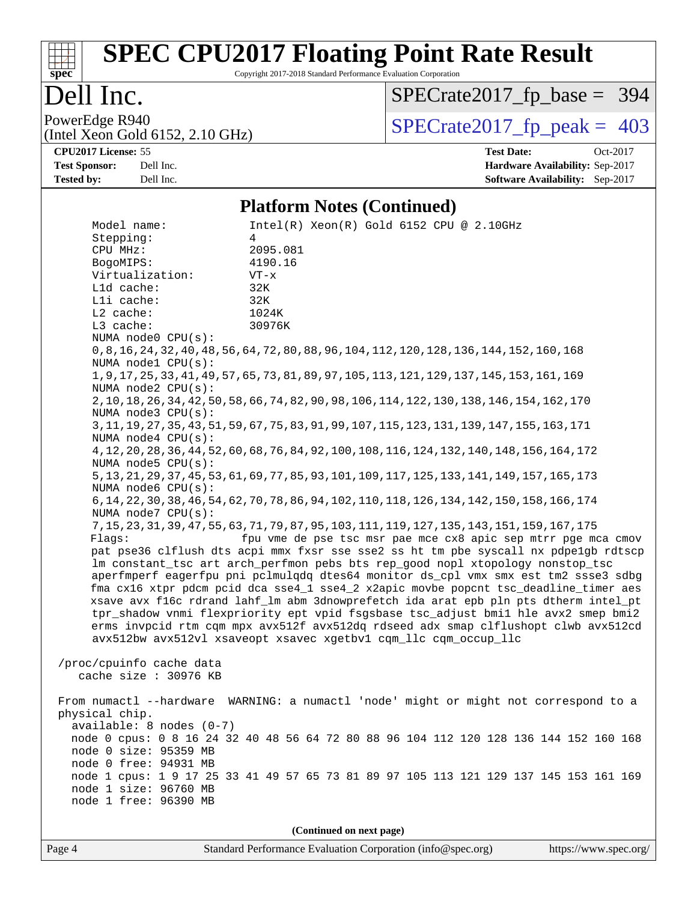## **[spec](http://www.spec.org/)**

## **[SPEC CPU2017 Floating Point Rate Result](http://www.spec.org/auto/cpu2017/Docs/result-fields.html#SPECCPU2017FloatingPointRateResult)**

Copyright 2017-2018 Standard Performance Evaluation Corporation

### Dell Inc.

[SPECrate2017\\_fp\\_base =](http://www.spec.org/auto/cpu2017/Docs/result-fields.html#SPECrate2017fpbase) 394

(Intel Xeon Gold 6152, 2.10 GHz)

PowerEdge R940<br>(Intel Xeon Gold 6152, 2.10 GHz)  $\begin{array}{c|c}\n\text{SPECrate2017\_fp\_peak = 403}\n\end{array}$ 

**[CPU2017 License:](http://www.spec.org/auto/cpu2017/Docs/result-fields.html#CPU2017License)** 55 **[Test Date:](http://www.spec.org/auto/cpu2017/Docs/result-fields.html#TestDate)** Oct-2017 **[Test Sponsor:](http://www.spec.org/auto/cpu2017/Docs/result-fields.html#TestSponsor)** Dell Inc. **[Hardware Availability:](http://www.spec.org/auto/cpu2017/Docs/result-fields.html#HardwareAvailability)** Sep-2017 **[Tested by:](http://www.spec.org/auto/cpu2017/Docs/result-fields.html#Testedby)** Dell Inc. **[Software Availability:](http://www.spec.org/auto/cpu2017/Docs/result-fields.html#SoftwareAvailability)** Sep-2017

#### **[Platform Notes \(Continued\)](http://www.spec.org/auto/cpu2017/Docs/result-fields.html#PlatformNotes)**

 Model name: Intel(R) Xeon(R) Gold 6152 CPU @ 2.10GHz Stepping: 4 CPU MHz: 2095.081 BogoMIPS: 4190.16 Virtualization: VT-x L1d cache: 32K L1i cache: 32K L2 cache: 1024K L3 cache: 30976K NUMA node0 CPU(s): 0,8,16,24,32,40,48,56,64,72,80,88,96,104,112,120,128,136,144,152,160,168 NUMA node1 CPU(s): 1,9,17,25,33,41,49,57,65,73,81,89,97,105,113,121,129,137,145,153,161,169 NUMA node2 CPU(s): 2,10,18,26,34,42,50,58,66,74,82,90,98,106,114,122,130,138,146,154,162,170 NUMA node3 CPU(s): 3,11,19,27,35,43,51,59,67,75,83,91,99,107,115,123,131,139,147,155,163,171 NUMA node4 CPU(s): 4,12,20,28,36,44,52,60,68,76,84,92,100,108,116,124,132,140,148,156,164,172 NUMA node5 CPU(s): 5,13,21,29,37,45,53,61,69,77,85,93,101,109,117,125,133,141,149,157,165,173 NUMA node6 CPU(s): 6,14,22,30,38,46,54,62,70,78,86,94,102,110,118,126,134,142,150,158,166,174 NUMA node7 CPU(s): 7,15,23,31,39,47,55,63,71,79,87,95,103,111,119,127,135,143,151,159,167,175 Flags: fpu vme de pse tsc msr pae mce cx8 apic sep mtrr pge mca cmov pat pse36 clflush dts acpi mmx fxsr sse sse2 ss ht tm pbe syscall nx pdpe1gb rdtscp lm constant\_tsc art arch\_perfmon pebs bts rep\_good nopl xtopology nonstop\_tsc aperfmperf eagerfpu pni pclmulqdq dtes64 monitor ds\_cpl vmx smx est tm2 ssse3 sdbg fma cx16 xtpr pdcm pcid dca sse4\_1 sse4\_2 x2apic movbe popcnt tsc\_deadline\_timer aes xsave avx f16c rdrand lahf\_lm abm 3dnowprefetch ida arat epb pln pts dtherm intel\_pt tpr\_shadow vnmi flexpriority ept vpid fsgsbase tsc\_adjust bmi1 hle avx2 smep bmi2 erms invpcid rtm cqm mpx avx512f avx512dq rdseed adx smap clflushopt clwb avx512cd avx512bw avx512vl xsaveopt xsavec xgetbv1 cqm\_llc cqm\_occup\_llc /proc/cpuinfo cache data cache size : 30976 KB From numactl --hardware WARNING: a numactl 'node' might or might not correspond to a physical chip. available: 8 nodes (0-7) node 0 cpus: 0 8 16 24 32 40 48 56 64 72 80 88 96 104 112 120 128 136 144 152 160 168 node 0 size: 95359 MB node 0 free: 94931 MB node 1 cpus: 1 9 17 25 33 41 49 57 65 73 81 89 97 105 113 121 129 137 145 153 161 169 node 1 size: 96760 MB node 1 free: 96390 MB **(Continued on next page)**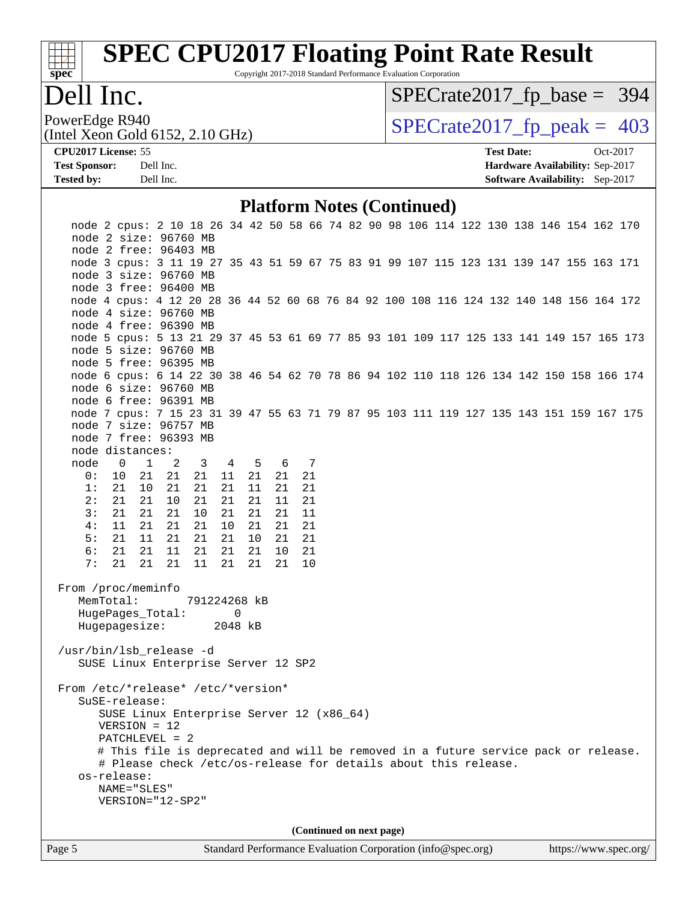

Copyright 2017-2018 Standard Performance Evaluation Corporation

### Dell Inc.

[SPECrate2017\\_fp\\_base =](http://www.spec.org/auto/cpu2017/Docs/result-fields.html#SPECrate2017fpbase) 394

(Intel Xeon Gold 6152, 2.10 GHz)

PowerEdge R940<br>(Intel Xeon Gold 6152, 2.10 GHz)  $\begin{array}{c|c}\n\text{SPECrate2017\_fp\_peak = 403}\n\end{array}$ 

**[Tested by:](http://www.spec.org/auto/cpu2017/Docs/result-fields.html#Testedby)** Dell Inc. **[Software Availability:](http://www.spec.org/auto/cpu2017/Docs/result-fields.html#SoftwareAvailability)** Sep-2017

**[CPU2017 License:](http://www.spec.org/auto/cpu2017/Docs/result-fields.html#CPU2017License)** 55 **[Test Date:](http://www.spec.org/auto/cpu2017/Docs/result-fields.html#TestDate)** Oct-2017 **[Test Sponsor:](http://www.spec.org/auto/cpu2017/Docs/result-fields.html#TestSponsor)** Dell Inc. **[Hardware Availability:](http://www.spec.org/auto/cpu2017/Docs/result-fields.html#HardwareAvailability)** Sep-2017

#### **[Platform Notes \(Continued\)](http://www.spec.org/auto/cpu2017/Docs/result-fields.html#PlatformNotes)**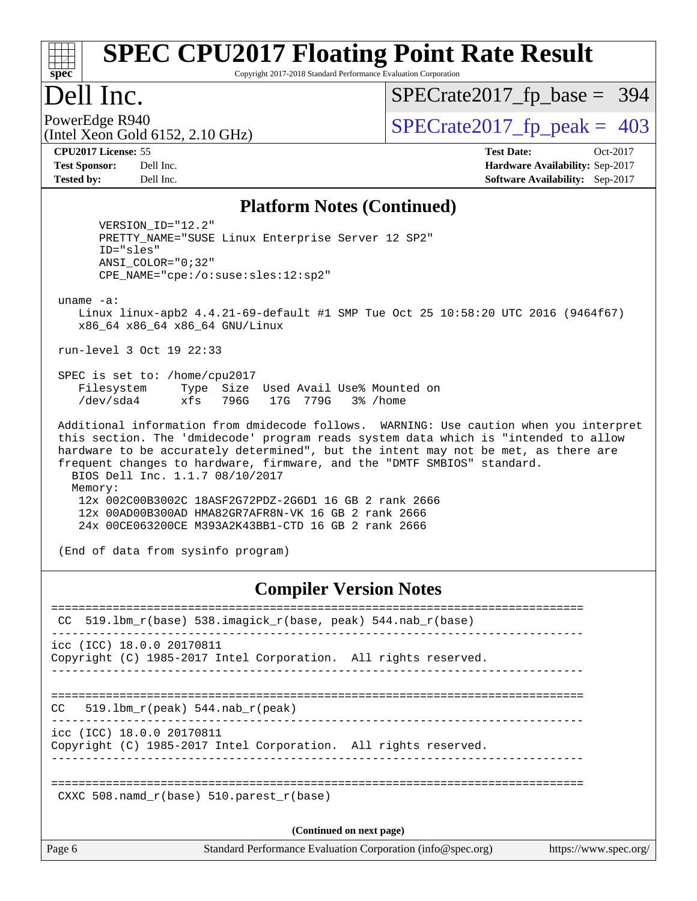# **[spec](http://www.spec.org/)**

## **[SPEC CPU2017 Floating Point Rate Result](http://www.spec.org/auto/cpu2017/Docs/result-fields.html#SPECCPU2017FloatingPointRateResult)**

Copyright 2017-2018 Standard Performance Evaluation Corporation

### Dell Inc.

[SPECrate2017\\_fp\\_base =](http://www.spec.org/auto/cpu2017/Docs/result-fields.html#SPECrate2017fpbase) 394

(Intel Xeon Gold 6152, 2.10 GHz)

PowerEdge R940<br>(Intel Xeon Gold 6152, 2.10 GHz)  $\begin{array}{c|c}\n\text{SPECrate2017\_fp\_peak = 403}\n\end{array}$ 

**[CPU2017 License:](http://www.spec.org/auto/cpu2017/Docs/result-fields.html#CPU2017License)** 55 **[Test Date:](http://www.spec.org/auto/cpu2017/Docs/result-fields.html#TestDate)** Oct-2017 **[Test Sponsor:](http://www.spec.org/auto/cpu2017/Docs/result-fields.html#TestSponsor)** Dell Inc. **[Hardware Availability:](http://www.spec.org/auto/cpu2017/Docs/result-fields.html#HardwareAvailability)** Sep-2017 **[Tested by:](http://www.spec.org/auto/cpu2017/Docs/result-fields.html#Testedby)** Dell Inc. **[Software Availability:](http://www.spec.org/auto/cpu2017/Docs/result-fields.html#SoftwareAvailability)** Sep-2017

#### **[Platform Notes \(Continued\)](http://www.spec.org/auto/cpu2017/Docs/result-fields.html#PlatformNotes)**

 VERSION\_ID="12.2" PRETTY\_NAME="SUSE Linux Enterprise Server 12 SP2" ID="sles" ANSI\_COLOR="0;32" CPE\_NAME="cpe:/o:suse:sles:12:sp2"

uname -a:

 Linux linux-apb2 4.4.21-69-default #1 SMP Tue Oct 25 10:58:20 UTC 2016 (9464f67) x86\_64 x86\_64 x86\_64 GNU/Linux

run-level 3 Oct 19 22:33

 SPEC is set to: /home/cpu2017 Filesystem Type Size Used Avail Use% Mounted on /dev/sda4 xfs 796G 17G 779G 3% /home

 Additional information from dmidecode follows. WARNING: Use caution when you interpret this section. The 'dmidecode' program reads system data which is "intended to allow hardware to be accurately determined", but the intent may not be met, as there are frequent changes to hardware, firmware, and the "DMTF SMBIOS" standard. BIOS Dell Inc. 1.1.7 08/10/2017 Memory: 12x 002C00B3002C 18ASF2G72PDZ-2G6D1 16 GB 2 rank 2666 12x 00AD00B300AD HMA82GR7AFR8N-VK 16 GB 2 rank 2666

24x 00CE063200CE M393A2K43BB1-CTD 16 GB 2 rank 2666

(End of data from sysinfo program)

#### **[Compiler Version Notes](http://www.spec.org/auto/cpu2017/Docs/result-fields.html#CompilerVersionNotes)**

| CC.    | 519.1bm_r(base) 538.imagick_r(base, peak) 544.nab_r(base)                                    |
|--------|----------------------------------------------------------------------------------------------|
|        | icc (ICC) 18.0.0 20170811<br>Copyright (C) 1985-2017 Intel Corporation. All rights reserved. |
| CC.    | 519.1bm $r(\text{peak})$ 544.nab $r(\text{peak})$                                            |
|        | icc (ICC) 18.0.0 20170811<br>Copyright (C) 1985-2017 Intel Corporation. All rights reserved. |
|        | CXXC 508. namd $r(base)$ 510. parest $r(base)$                                               |
|        | (Continued on next page)                                                                     |
| Page 6 | Standard Performance Evaluation Corporation (info@spec.org)<br>https://www.spec.org/         |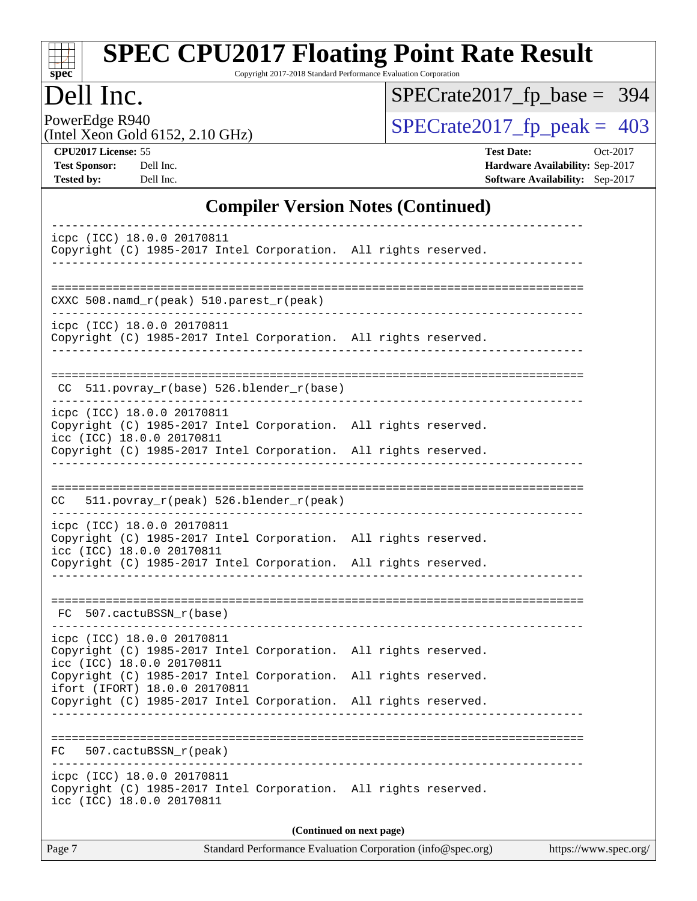| SI<br>ne<br>C. |  |  |  |  |  |  |
|----------------|--|--|--|--|--|--|

Copyright 2017-2018 Standard Performance Evaluation Corporation

### Dell Inc.

[SPECrate2017\\_fp\\_base =](http://www.spec.org/auto/cpu2017/Docs/result-fields.html#SPECrate2017fpbase) 394

(Intel Xeon Gold 6152, 2.10 GHz)

PowerEdge R940<br>(Intel Xeon Gold 6152, 2.10 GHz) [SPECrate2017\\_fp\\_peak =](http://www.spec.org/auto/cpu2017/Docs/result-fields.html#SPECrate2017fppeak) 403

| <b>CPU2017 License: 55</b> |
|----------------------------|
|----------------------------|

**[CPU2017 License:](http://www.spec.org/auto/cpu2017/Docs/result-fields.html#CPU2017License)** 55 **[Test Date:](http://www.spec.org/auto/cpu2017/Docs/result-fields.html#TestDate)** Oct-2017 **[Test Sponsor:](http://www.spec.org/auto/cpu2017/Docs/result-fields.html#TestSponsor)** Dell Inc. **[Hardware Availability:](http://www.spec.org/auto/cpu2017/Docs/result-fields.html#HardwareAvailability)** Sep-2017 **[Tested by:](http://www.spec.org/auto/cpu2017/Docs/result-fields.html#Testedby)** Dell Inc. **[Software Availability:](http://www.spec.org/auto/cpu2017/Docs/result-fields.html#SoftwareAvailability)** Sep-2017

#### **[Compiler Version Notes \(Continued\)](http://www.spec.org/auto/cpu2017/Docs/result-fields.html#CompilerVersionNotes)**

| Page 7                                                                                                                     | Standard Performance Evaluation Corporation (info@spec.org) | https://www.spec.org/ |
|----------------------------------------------------------------------------------------------------------------------------|-------------------------------------------------------------|-----------------------|
|                                                                                                                            | (Continued on next page)                                    |                       |
| icpc (ICC) 18.0.0 20170811<br>Copyright (C) 1985-2017 Intel Corporation. All rights reserved.<br>icc (ICC) 18.0.0 20170811 |                                                             |                       |
| 507.cactuBSSN_r(peak)<br>FC.                                                                                               |                                                             |                       |
| Copyright (C) 1985-2017 Intel Corporation. All rights reserved.                                                            |                                                             |                       |
| icc (ICC) 18.0.0 20170811<br>Copyright (C) 1985-2017 Intel Corporation.<br>ifort (IFORT) 18.0.0 20170811                   | All rights reserved.                                        |                       |
| icpc (ICC) 18.0.0 20170811<br>Copyright (C) 1985-2017 Intel Corporation. All rights reserved.                              |                                                             |                       |
| FC 507.cactuBSSN_r(base)                                                                                                   | ---------------------------------                           |                       |
| icc (ICC) 18.0.0 20170811<br>Copyright (C) 1985-2017 Intel Corporation. All rights reserved.                               |                                                             |                       |
| icpc (ICC) 18.0.0 20170811<br>Copyright (C) 1985-2017 Intel Corporation. All rights reserved.                              |                                                             |                       |
| 511.povray_r(peak) 526.blender_r(peak)<br>CC                                                                               |                                                             |                       |
| Copyright (C) 1985-2017 Intel Corporation. All rights reserved.                                                            |                                                             |                       |
| icpc (ICC) 18.0.0 20170811<br>Copyright (C) 1985-2017 Intel Corporation. All rights reserved.<br>icc (ICC) 18.0.0 20170811 |                                                             |                       |
| CC 511.povray_r(base) 526.blender_r(base)                                                                                  |                                                             |                       |
| icpc (ICC) 18.0.0 20170811<br>Copyright (C) 1985-2017 Intel Corporation. All rights reserved.                              |                                                             |                       |
| CXXC 508.namd_r(peak) 510.parest_r(peak)                                                                                   |                                                             |                       |
| Copyright (C) 1985-2017 Intel Corporation. All rights reserved.                                                            |                                                             |                       |
| icpc (ICC) 18.0.0 20170811                                                                                                 |                                                             |                       |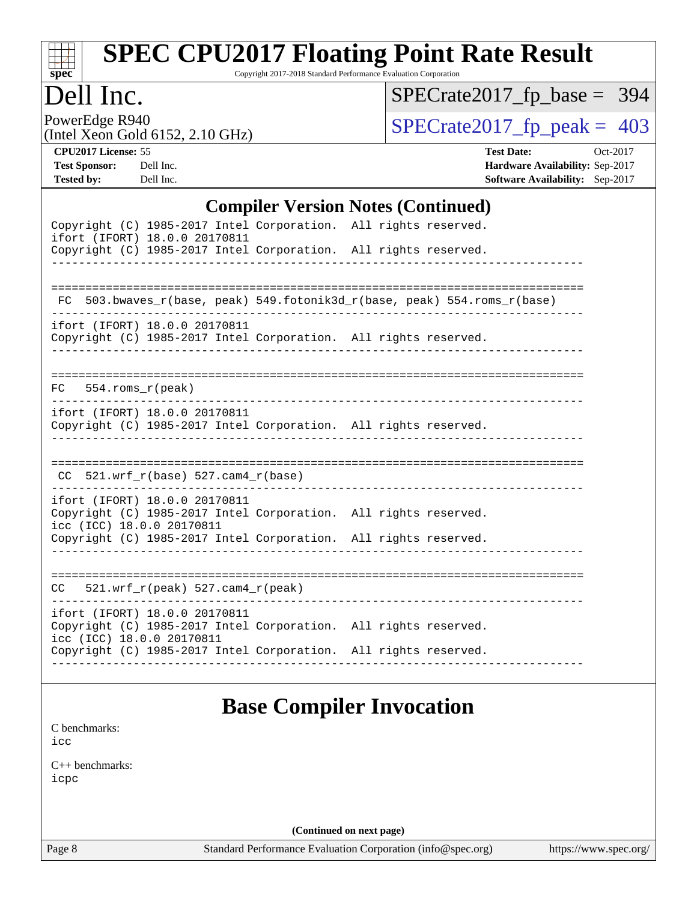

Copyright 2017-2018 Standard Performance Evaluation Corporation

### Dell Inc.

[SPECrate2017\\_fp\\_base =](http://www.spec.org/auto/cpu2017/Docs/result-fields.html#SPECrate2017fpbase) 394

PowerEdge R940<br>(Intel Xeon Gold 6152, 2.10 GHz)

 $SPECTate 2017_fp\_peak = 403$ 

**[CPU2017 License:](http://www.spec.org/auto/cpu2017/Docs/result-fields.html#CPU2017License)** 55 **[Test Date:](http://www.spec.org/auto/cpu2017/Docs/result-fields.html#TestDate)** Oct-2017 **[Test Sponsor:](http://www.spec.org/auto/cpu2017/Docs/result-fields.html#TestSponsor)** Dell Inc. **[Hardware Availability:](http://www.spec.org/auto/cpu2017/Docs/result-fields.html#HardwareAvailability)** Sep-2017 **[Tested by:](http://www.spec.org/auto/cpu2017/Docs/result-fields.html#Testedby)** Dell Inc. **[Software Availability:](http://www.spec.org/auto/cpu2017/Docs/result-fields.html#SoftwareAvailability)** Sep-2017

#### **[Compiler Version Notes \(Continued\)](http://www.spec.org/auto/cpu2017/Docs/result-fields.html#CompilerVersionNotes)**

| Copyright (C) 1985-2017 Intel Corporation. All rights reserved.<br>ifort (IFORT) 18.0.0 20170811<br>Copyright (C) 1985-2017 Intel Corporation. All rights reserved. |                                                                          |
|---------------------------------------------------------------------------------------------------------------------------------------------------------------------|--------------------------------------------------------------------------|
|                                                                                                                                                                     |                                                                          |
|                                                                                                                                                                     | FC 503.bwaves_r(base, peak) 549.fotonik3d_r(base, peak) 554.roms_r(base) |
| ifort (IFORT) 18.0.0 20170811<br>Copyright (C) 1985-2017 Intel Corporation. All rights reserved.                                                                    |                                                                          |
| $FC$ 554. roms $r$ (peak)                                                                                                                                           |                                                                          |
| ifort (IFORT) 18.0.0 20170811<br>Copyright (C) 1985-2017 Intel Corporation. All rights reserved.                                                                    |                                                                          |
| $CC$ 521.wrf_r(base) 527.cam4_r(base)                                                                                                                               |                                                                          |
| ifort (IFORT) 18.0.0 20170811<br>Copyright (C) 1985-2017 Intel Corporation. All rights reserved.<br>icc (ICC) 18.0.0 20170811                                       |                                                                          |
| Copyright (C) 1985-2017 Intel Corporation. All rights reserved.                                                                                                     |                                                                          |
| $CC = 521.wrf_r(peak) 527.cam4_r(peak)$                                                                                                                             |                                                                          |
| ifort (IFORT) 18.0.0 20170811<br>Copyright (C) 1985-2017 Intel Corporation. All rights reserved.<br>icc (ICC) 18.0.0 20170811                                       |                                                                          |
| Copyright (C) 1985-2017 Intel Corporation. All rights reserved.                                                                                                     |                                                                          |

### **[Base Compiler Invocation](http://www.spec.org/auto/cpu2017/Docs/result-fields.html#BaseCompilerInvocation)**

[C benchmarks](http://www.spec.org/auto/cpu2017/Docs/result-fields.html#Cbenchmarks): [icc](http://www.spec.org/cpu2017/results/res2017q4/cpu2017-20171114-00641.flags.html#user_CCbase_intel_icc_18.0_66fc1ee009f7361af1fbd72ca7dcefbb700085f36577c54f309893dd4ec40d12360134090235512931783d35fd58c0460139e722d5067c5574d8eaf2b3e37e92)

[C++ benchmarks:](http://www.spec.org/auto/cpu2017/Docs/result-fields.html#CXXbenchmarks) [icpc](http://www.spec.org/cpu2017/results/res2017q4/cpu2017-20171114-00641.flags.html#user_CXXbase_intel_icpc_18.0_c510b6838c7f56d33e37e94d029a35b4a7bccf4766a728ee175e80a419847e808290a9b78be685c44ab727ea267ec2f070ec5dc83b407c0218cded6866a35d07)

**(Continued on next page)**

Page 8 Standard Performance Evaluation Corporation [\(info@spec.org\)](mailto:info@spec.org) <https://www.spec.org/>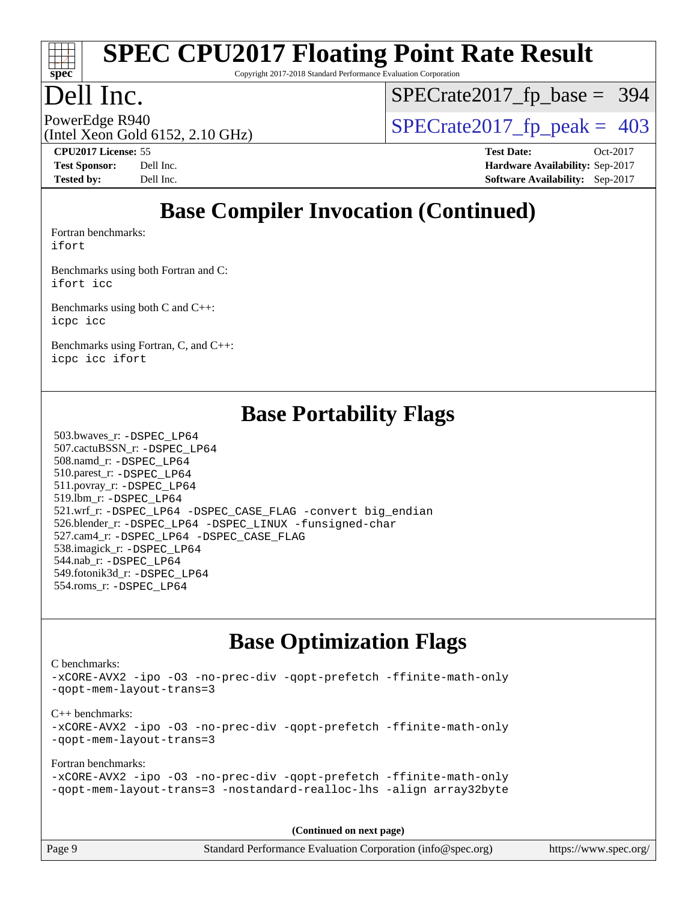

Copyright 2017-2018 Standard Performance Evaluation Corporation

### Dell Inc.

[SPECrate2017\\_fp\\_base =](http://www.spec.org/auto/cpu2017/Docs/result-fields.html#SPECrate2017fpbase) 394

(Intel Xeon Gold 6152, 2.10 GHz)

PowerEdge R940<br>  $\text{SPECrate2017\_fp\_peak} = 403$ 

**[CPU2017 License:](http://www.spec.org/auto/cpu2017/Docs/result-fields.html#CPU2017License)** 55 **[Test Date:](http://www.spec.org/auto/cpu2017/Docs/result-fields.html#TestDate)** Oct-2017 **[Test Sponsor:](http://www.spec.org/auto/cpu2017/Docs/result-fields.html#TestSponsor)** Dell Inc. **[Hardware Availability:](http://www.spec.org/auto/cpu2017/Docs/result-fields.html#HardwareAvailability)** Sep-2017 **[Tested by:](http://www.spec.org/auto/cpu2017/Docs/result-fields.html#Testedby)** Dell Inc. **[Software Availability:](http://www.spec.org/auto/cpu2017/Docs/result-fields.html#SoftwareAvailability)** Sep-2017

## **[Base Compiler Invocation \(Continued\)](http://www.spec.org/auto/cpu2017/Docs/result-fields.html#BaseCompilerInvocation)**

[Fortran benchmarks](http://www.spec.org/auto/cpu2017/Docs/result-fields.html#Fortranbenchmarks): [ifort](http://www.spec.org/cpu2017/results/res2017q4/cpu2017-20171114-00641.flags.html#user_FCbase_intel_ifort_18.0_8111460550e3ca792625aed983ce982f94888b8b503583aa7ba2b8303487b4d8a21a13e7191a45c5fd58ff318f48f9492884d4413fa793fd88dd292cad7027ca)

[Benchmarks using both Fortran and C](http://www.spec.org/auto/cpu2017/Docs/result-fields.html#BenchmarksusingbothFortranandC): [ifort](http://www.spec.org/cpu2017/results/res2017q4/cpu2017-20171114-00641.flags.html#user_CC_FCbase_intel_ifort_18.0_8111460550e3ca792625aed983ce982f94888b8b503583aa7ba2b8303487b4d8a21a13e7191a45c5fd58ff318f48f9492884d4413fa793fd88dd292cad7027ca) [icc](http://www.spec.org/cpu2017/results/res2017q4/cpu2017-20171114-00641.flags.html#user_CC_FCbase_intel_icc_18.0_66fc1ee009f7361af1fbd72ca7dcefbb700085f36577c54f309893dd4ec40d12360134090235512931783d35fd58c0460139e722d5067c5574d8eaf2b3e37e92)

[Benchmarks using both C and C++](http://www.spec.org/auto/cpu2017/Docs/result-fields.html#BenchmarksusingbothCandCXX): [icpc](http://www.spec.org/cpu2017/results/res2017q4/cpu2017-20171114-00641.flags.html#user_CC_CXXbase_intel_icpc_18.0_c510b6838c7f56d33e37e94d029a35b4a7bccf4766a728ee175e80a419847e808290a9b78be685c44ab727ea267ec2f070ec5dc83b407c0218cded6866a35d07) [icc](http://www.spec.org/cpu2017/results/res2017q4/cpu2017-20171114-00641.flags.html#user_CC_CXXbase_intel_icc_18.0_66fc1ee009f7361af1fbd72ca7dcefbb700085f36577c54f309893dd4ec40d12360134090235512931783d35fd58c0460139e722d5067c5574d8eaf2b3e37e92)

[Benchmarks using Fortran, C, and C++:](http://www.spec.org/auto/cpu2017/Docs/result-fields.html#BenchmarksusingFortranCandCXX) [icpc](http://www.spec.org/cpu2017/results/res2017q4/cpu2017-20171114-00641.flags.html#user_CC_CXX_FCbase_intel_icpc_18.0_c510b6838c7f56d33e37e94d029a35b4a7bccf4766a728ee175e80a419847e808290a9b78be685c44ab727ea267ec2f070ec5dc83b407c0218cded6866a35d07) [icc](http://www.spec.org/cpu2017/results/res2017q4/cpu2017-20171114-00641.flags.html#user_CC_CXX_FCbase_intel_icc_18.0_66fc1ee009f7361af1fbd72ca7dcefbb700085f36577c54f309893dd4ec40d12360134090235512931783d35fd58c0460139e722d5067c5574d8eaf2b3e37e92) [ifort](http://www.spec.org/cpu2017/results/res2017q4/cpu2017-20171114-00641.flags.html#user_CC_CXX_FCbase_intel_ifort_18.0_8111460550e3ca792625aed983ce982f94888b8b503583aa7ba2b8303487b4d8a21a13e7191a45c5fd58ff318f48f9492884d4413fa793fd88dd292cad7027ca)

### **[Base Portability Flags](http://www.spec.org/auto/cpu2017/Docs/result-fields.html#BasePortabilityFlags)**

 503.bwaves\_r: [-DSPEC\\_LP64](http://www.spec.org/cpu2017/results/res2017q4/cpu2017-20171114-00641.flags.html#suite_basePORTABILITY503_bwaves_r_DSPEC_LP64) 507.cactuBSSN\_r: [-DSPEC\\_LP64](http://www.spec.org/cpu2017/results/res2017q4/cpu2017-20171114-00641.flags.html#suite_basePORTABILITY507_cactuBSSN_r_DSPEC_LP64) 508.namd\_r: [-DSPEC\\_LP64](http://www.spec.org/cpu2017/results/res2017q4/cpu2017-20171114-00641.flags.html#suite_basePORTABILITY508_namd_r_DSPEC_LP64) 510.parest\_r: [-DSPEC\\_LP64](http://www.spec.org/cpu2017/results/res2017q4/cpu2017-20171114-00641.flags.html#suite_basePORTABILITY510_parest_r_DSPEC_LP64) 511.povray\_r: [-DSPEC\\_LP64](http://www.spec.org/cpu2017/results/res2017q4/cpu2017-20171114-00641.flags.html#suite_basePORTABILITY511_povray_r_DSPEC_LP64) 519.lbm\_r: [-DSPEC\\_LP64](http://www.spec.org/cpu2017/results/res2017q4/cpu2017-20171114-00641.flags.html#suite_basePORTABILITY519_lbm_r_DSPEC_LP64) 521.wrf\_r: [-DSPEC\\_LP64](http://www.spec.org/cpu2017/results/res2017q4/cpu2017-20171114-00641.flags.html#suite_basePORTABILITY521_wrf_r_DSPEC_LP64) [-DSPEC\\_CASE\\_FLAG](http://www.spec.org/cpu2017/results/res2017q4/cpu2017-20171114-00641.flags.html#b521.wrf_r_baseCPORTABILITY_DSPEC_CASE_FLAG) [-convert big\\_endian](http://www.spec.org/cpu2017/results/res2017q4/cpu2017-20171114-00641.flags.html#user_baseFPORTABILITY521_wrf_r_convert_big_endian_c3194028bc08c63ac5d04de18c48ce6d347e4e562e8892b8bdbdc0214820426deb8554edfa529a3fb25a586e65a3d812c835984020483e7e73212c4d31a38223) 526.blender\_r: [-DSPEC\\_LP64](http://www.spec.org/cpu2017/results/res2017q4/cpu2017-20171114-00641.flags.html#suite_basePORTABILITY526_blender_r_DSPEC_LP64) [-DSPEC\\_LINUX](http://www.spec.org/cpu2017/results/res2017q4/cpu2017-20171114-00641.flags.html#b526.blender_r_baseCPORTABILITY_DSPEC_LINUX) [-funsigned-char](http://www.spec.org/cpu2017/results/res2017q4/cpu2017-20171114-00641.flags.html#user_baseCPORTABILITY526_blender_r_force_uchar_40c60f00ab013830e2dd6774aeded3ff59883ba5a1fc5fc14077f794d777847726e2a5858cbc7672e36e1b067e7e5c1d9a74f7176df07886a243d7cc18edfe67) 527.cam4\_r: [-DSPEC\\_LP64](http://www.spec.org/cpu2017/results/res2017q4/cpu2017-20171114-00641.flags.html#suite_basePORTABILITY527_cam4_r_DSPEC_LP64) [-DSPEC\\_CASE\\_FLAG](http://www.spec.org/cpu2017/results/res2017q4/cpu2017-20171114-00641.flags.html#b527.cam4_r_baseCPORTABILITY_DSPEC_CASE_FLAG) 538.imagick\_r: [-DSPEC\\_LP64](http://www.spec.org/cpu2017/results/res2017q4/cpu2017-20171114-00641.flags.html#suite_basePORTABILITY538_imagick_r_DSPEC_LP64) 544.nab\_r: [-DSPEC\\_LP64](http://www.spec.org/cpu2017/results/res2017q4/cpu2017-20171114-00641.flags.html#suite_basePORTABILITY544_nab_r_DSPEC_LP64) 549.fotonik3d\_r: [-DSPEC\\_LP64](http://www.spec.org/cpu2017/results/res2017q4/cpu2017-20171114-00641.flags.html#suite_basePORTABILITY549_fotonik3d_r_DSPEC_LP64) 554.roms\_r: [-DSPEC\\_LP64](http://www.spec.org/cpu2017/results/res2017q4/cpu2017-20171114-00641.flags.html#suite_basePORTABILITY554_roms_r_DSPEC_LP64)

### **[Base Optimization Flags](http://www.spec.org/auto/cpu2017/Docs/result-fields.html#BaseOptimizationFlags)**

[C benchmarks](http://www.spec.org/auto/cpu2017/Docs/result-fields.html#Cbenchmarks): [-xCORE-AVX2](http://www.spec.org/cpu2017/results/res2017q4/cpu2017-20171114-00641.flags.html#user_CCbase_f-xCORE-AVX2) [-ipo](http://www.spec.org/cpu2017/results/res2017q4/cpu2017-20171114-00641.flags.html#user_CCbase_f-ipo) [-O3](http://www.spec.org/cpu2017/results/res2017q4/cpu2017-20171114-00641.flags.html#user_CCbase_f-O3) [-no-prec-div](http://www.spec.org/cpu2017/results/res2017q4/cpu2017-20171114-00641.flags.html#user_CCbase_f-no-prec-div) [-qopt-prefetch](http://www.spec.org/cpu2017/results/res2017q4/cpu2017-20171114-00641.flags.html#user_CCbase_f-qopt-prefetch) [-ffinite-math-only](http://www.spec.org/cpu2017/results/res2017q4/cpu2017-20171114-00641.flags.html#user_CCbase_f_finite_math_only_cb91587bd2077682c4b38af759c288ed7c732db004271a9512da14a4f8007909a5f1427ecbf1a0fb78ff2a814402c6114ac565ca162485bbcae155b5e4258871) [-qopt-mem-layout-trans=3](http://www.spec.org/cpu2017/results/res2017q4/cpu2017-20171114-00641.flags.html#user_CCbase_f-qopt-mem-layout-trans_de80db37974c74b1f0e20d883f0b675c88c3b01e9d123adea9b28688d64333345fb62bc4a798493513fdb68f60282f9a726aa07f478b2f7113531aecce732043) [C++ benchmarks:](http://www.spec.org/auto/cpu2017/Docs/result-fields.html#CXXbenchmarks) [-xCORE-AVX2](http://www.spec.org/cpu2017/results/res2017q4/cpu2017-20171114-00641.flags.html#user_CXXbase_f-xCORE-AVX2) [-ipo](http://www.spec.org/cpu2017/results/res2017q4/cpu2017-20171114-00641.flags.html#user_CXXbase_f-ipo) [-O3](http://www.spec.org/cpu2017/results/res2017q4/cpu2017-20171114-00641.flags.html#user_CXXbase_f-O3) [-no-prec-div](http://www.spec.org/cpu2017/results/res2017q4/cpu2017-20171114-00641.flags.html#user_CXXbase_f-no-prec-div) [-qopt-prefetch](http://www.spec.org/cpu2017/results/res2017q4/cpu2017-20171114-00641.flags.html#user_CXXbase_f-qopt-prefetch) [-ffinite-math-only](http://www.spec.org/cpu2017/results/res2017q4/cpu2017-20171114-00641.flags.html#user_CXXbase_f_finite_math_only_cb91587bd2077682c4b38af759c288ed7c732db004271a9512da14a4f8007909a5f1427ecbf1a0fb78ff2a814402c6114ac565ca162485bbcae155b5e4258871) [-qopt-mem-layout-trans=3](http://www.spec.org/cpu2017/results/res2017q4/cpu2017-20171114-00641.flags.html#user_CXXbase_f-qopt-mem-layout-trans_de80db37974c74b1f0e20d883f0b675c88c3b01e9d123adea9b28688d64333345fb62bc4a798493513fdb68f60282f9a726aa07f478b2f7113531aecce732043) [Fortran benchmarks](http://www.spec.org/auto/cpu2017/Docs/result-fields.html#Fortranbenchmarks): [-xCORE-AVX2](http://www.spec.org/cpu2017/results/res2017q4/cpu2017-20171114-00641.flags.html#user_FCbase_f-xCORE-AVX2) [-ipo](http://www.spec.org/cpu2017/results/res2017q4/cpu2017-20171114-00641.flags.html#user_FCbase_f-ipo) [-O3](http://www.spec.org/cpu2017/results/res2017q4/cpu2017-20171114-00641.flags.html#user_FCbase_f-O3) [-no-prec-div](http://www.spec.org/cpu2017/results/res2017q4/cpu2017-20171114-00641.flags.html#user_FCbase_f-no-prec-div) [-qopt-prefetch](http://www.spec.org/cpu2017/results/res2017q4/cpu2017-20171114-00641.flags.html#user_FCbase_f-qopt-prefetch) [-ffinite-math-only](http://www.spec.org/cpu2017/results/res2017q4/cpu2017-20171114-00641.flags.html#user_FCbase_f_finite_math_only_cb91587bd2077682c4b38af759c288ed7c732db004271a9512da14a4f8007909a5f1427ecbf1a0fb78ff2a814402c6114ac565ca162485bbcae155b5e4258871) [-qopt-mem-layout-trans=3](http://www.spec.org/cpu2017/results/res2017q4/cpu2017-20171114-00641.flags.html#user_FCbase_f-qopt-mem-layout-trans_de80db37974c74b1f0e20d883f0b675c88c3b01e9d123adea9b28688d64333345fb62bc4a798493513fdb68f60282f9a726aa07f478b2f7113531aecce732043) [-nostandard-realloc-lhs](http://www.spec.org/cpu2017/results/res2017q4/cpu2017-20171114-00641.flags.html#user_FCbase_f_2003_std_realloc_82b4557e90729c0f113870c07e44d33d6f5a304b4f63d4c15d2d0f1fab99f5daaed73bdb9275d9ae411527f28b936061aa8b9c8f2d63842963b95c9dd6426b8a) [-align array32byte](http://www.spec.org/cpu2017/results/res2017q4/cpu2017-20171114-00641.flags.html#user_FCbase_align_array32byte_b982fe038af199962ba9a80c053b8342c548c85b40b8e86eb3cc33dee0d7986a4af373ac2d51c3f7cf710a18d62fdce2948f201cd044323541f22fc0fffc51b6)

**(Continued on next page)**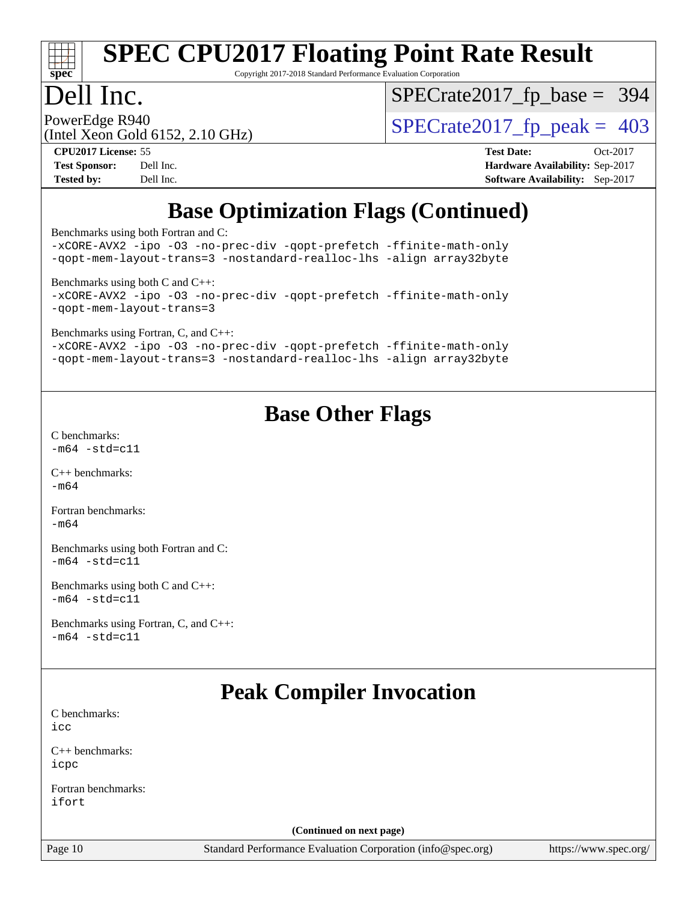

Copyright 2017-2018 Standard Performance Evaluation Corporation

### Dell Inc.

[SPECrate2017\\_fp\\_base =](http://www.spec.org/auto/cpu2017/Docs/result-fields.html#SPECrate2017fpbase) 394

(Intel Xeon Gold 6152, 2.10 GHz)

PowerEdge R940<br>(Intel Xeon Gold 6152, 2.10 GHz)  $\begin{array}{c|c}\n\text{SPECrate2017\_fp\_peak = 403}\n\end{array}$ 

**[CPU2017 License:](http://www.spec.org/auto/cpu2017/Docs/result-fields.html#CPU2017License)** 55 **[Test Date:](http://www.spec.org/auto/cpu2017/Docs/result-fields.html#TestDate)** Oct-2017 **[Test Sponsor:](http://www.spec.org/auto/cpu2017/Docs/result-fields.html#TestSponsor)** Dell Inc. **[Hardware Availability:](http://www.spec.org/auto/cpu2017/Docs/result-fields.html#HardwareAvailability)** Sep-2017 **[Tested by:](http://www.spec.org/auto/cpu2017/Docs/result-fields.html#Testedby)** Dell Inc. **[Software Availability:](http://www.spec.org/auto/cpu2017/Docs/result-fields.html#SoftwareAvailability)** Sep-2017

## **[Base Optimization Flags \(Continued\)](http://www.spec.org/auto/cpu2017/Docs/result-fields.html#BaseOptimizationFlags)**

[Benchmarks using both Fortran and C](http://www.spec.org/auto/cpu2017/Docs/result-fields.html#BenchmarksusingbothFortranandC):

[-xCORE-AVX2](http://www.spec.org/cpu2017/results/res2017q4/cpu2017-20171114-00641.flags.html#user_CC_FCbase_f-xCORE-AVX2) [-ipo](http://www.spec.org/cpu2017/results/res2017q4/cpu2017-20171114-00641.flags.html#user_CC_FCbase_f-ipo) [-O3](http://www.spec.org/cpu2017/results/res2017q4/cpu2017-20171114-00641.flags.html#user_CC_FCbase_f-O3) [-no-prec-div](http://www.spec.org/cpu2017/results/res2017q4/cpu2017-20171114-00641.flags.html#user_CC_FCbase_f-no-prec-div) [-qopt-prefetch](http://www.spec.org/cpu2017/results/res2017q4/cpu2017-20171114-00641.flags.html#user_CC_FCbase_f-qopt-prefetch) [-ffinite-math-only](http://www.spec.org/cpu2017/results/res2017q4/cpu2017-20171114-00641.flags.html#user_CC_FCbase_f_finite_math_only_cb91587bd2077682c4b38af759c288ed7c732db004271a9512da14a4f8007909a5f1427ecbf1a0fb78ff2a814402c6114ac565ca162485bbcae155b5e4258871) [-qopt-mem-layout-trans=3](http://www.spec.org/cpu2017/results/res2017q4/cpu2017-20171114-00641.flags.html#user_CC_FCbase_f-qopt-mem-layout-trans_de80db37974c74b1f0e20d883f0b675c88c3b01e9d123adea9b28688d64333345fb62bc4a798493513fdb68f60282f9a726aa07f478b2f7113531aecce732043) [-nostandard-realloc-lhs](http://www.spec.org/cpu2017/results/res2017q4/cpu2017-20171114-00641.flags.html#user_CC_FCbase_f_2003_std_realloc_82b4557e90729c0f113870c07e44d33d6f5a304b4f63d4c15d2d0f1fab99f5daaed73bdb9275d9ae411527f28b936061aa8b9c8f2d63842963b95c9dd6426b8a) [-align array32byte](http://www.spec.org/cpu2017/results/res2017q4/cpu2017-20171114-00641.flags.html#user_CC_FCbase_align_array32byte_b982fe038af199962ba9a80c053b8342c548c85b40b8e86eb3cc33dee0d7986a4af373ac2d51c3f7cf710a18d62fdce2948f201cd044323541f22fc0fffc51b6) [Benchmarks using both C and C++](http://www.spec.org/auto/cpu2017/Docs/result-fields.html#BenchmarksusingbothCandCXX): [-xCORE-AVX2](http://www.spec.org/cpu2017/results/res2017q4/cpu2017-20171114-00641.flags.html#user_CC_CXXbase_f-xCORE-AVX2) [-ipo](http://www.spec.org/cpu2017/results/res2017q4/cpu2017-20171114-00641.flags.html#user_CC_CXXbase_f-ipo) [-O3](http://www.spec.org/cpu2017/results/res2017q4/cpu2017-20171114-00641.flags.html#user_CC_CXXbase_f-O3) [-no-prec-div](http://www.spec.org/cpu2017/results/res2017q4/cpu2017-20171114-00641.flags.html#user_CC_CXXbase_f-no-prec-div) [-qopt-prefetch](http://www.spec.org/cpu2017/results/res2017q4/cpu2017-20171114-00641.flags.html#user_CC_CXXbase_f-qopt-prefetch) [-ffinite-math-only](http://www.spec.org/cpu2017/results/res2017q4/cpu2017-20171114-00641.flags.html#user_CC_CXXbase_f_finite_math_only_cb91587bd2077682c4b38af759c288ed7c732db004271a9512da14a4f8007909a5f1427ecbf1a0fb78ff2a814402c6114ac565ca162485bbcae155b5e4258871) [-qopt-mem-layout-trans=3](http://www.spec.org/cpu2017/results/res2017q4/cpu2017-20171114-00641.flags.html#user_CC_CXXbase_f-qopt-mem-layout-trans_de80db37974c74b1f0e20d883f0b675c88c3b01e9d123adea9b28688d64333345fb62bc4a798493513fdb68f60282f9a726aa07f478b2f7113531aecce732043) [Benchmarks using Fortran, C, and C++:](http://www.spec.org/auto/cpu2017/Docs/result-fields.html#BenchmarksusingFortranCandCXX) [-xCORE-AVX2](http://www.spec.org/cpu2017/results/res2017q4/cpu2017-20171114-00641.flags.html#user_CC_CXX_FCbase_f-xCORE-AVX2) [-ipo](http://www.spec.org/cpu2017/results/res2017q4/cpu2017-20171114-00641.flags.html#user_CC_CXX_FCbase_f-ipo) [-O3](http://www.spec.org/cpu2017/results/res2017q4/cpu2017-20171114-00641.flags.html#user_CC_CXX_FCbase_f-O3) [-no-prec-div](http://www.spec.org/cpu2017/results/res2017q4/cpu2017-20171114-00641.flags.html#user_CC_CXX_FCbase_f-no-prec-div) [-qopt-prefetch](http://www.spec.org/cpu2017/results/res2017q4/cpu2017-20171114-00641.flags.html#user_CC_CXX_FCbase_f-qopt-prefetch) [-ffinite-math-only](http://www.spec.org/cpu2017/results/res2017q4/cpu2017-20171114-00641.flags.html#user_CC_CXX_FCbase_f_finite_math_only_cb91587bd2077682c4b38af759c288ed7c732db004271a9512da14a4f8007909a5f1427ecbf1a0fb78ff2a814402c6114ac565ca162485bbcae155b5e4258871) [-qopt-mem-layout-trans=3](http://www.spec.org/cpu2017/results/res2017q4/cpu2017-20171114-00641.flags.html#user_CC_CXX_FCbase_f-qopt-mem-layout-trans_de80db37974c74b1f0e20d883f0b675c88c3b01e9d123adea9b28688d64333345fb62bc4a798493513fdb68f60282f9a726aa07f478b2f7113531aecce732043) [-nostandard-realloc-lhs](http://www.spec.org/cpu2017/results/res2017q4/cpu2017-20171114-00641.flags.html#user_CC_CXX_FCbase_f_2003_std_realloc_82b4557e90729c0f113870c07e44d33d6f5a304b4f63d4c15d2d0f1fab99f5daaed73bdb9275d9ae411527f28b936061aa8b9c8f2d63842963b95c9dd6426b8a) [-align array32byte](http://www.spec.org/cpu2017/results/res2017q4/cpu2017-20171114-00641.flags.html#user_CC_CXX_FCbase_align_array32byte_b982fe038af199962ba9a80c053b8342c548c85b40b8e86eb3cc33dee0d7986a4af373ac2d51c3f7cf710a18d62fdce2948f201cd044323541f22fc0fffc51b6)

### **[Base Other Flags](http://www.spec.org/auto/cpu2017/Docs/result-fields.html#BaseOtherFlags)**

[C benchmarks](http://www.spec.org/auto/cpu2017/Docs/result-fields.html#Cbenchmarks):  $-m64 - std = c11$  $-m64 - std = c11$ 

[C++ benchmarks:](http://www.spec.org/auto/cpu2017/Docs/result-fields.html#CXXbenchmarks) [-m64](http://www.spec.org/cpu2017/results/res2017q4/cpu2017-20171114-00641.flags.html#user_CXXbase_intel_intel64_18.0_af43caccfc8ded86e7699f2159af6efc7655f51387b94da716254467f3c01020a5059329e2569e4053f409e7c9202a7efc638f7a6d1ffb3f52dea4a3e31d82ab)

[Fortran benchmarks](http://www.spec.org/auto/cpu2017/Docs/result-fields.html#Fortranbenchmarks):  $-m64$ 

[Benchmarks using both Fortran and C](http://www.spec.org/auto/cpu2017/Docs/result-fields.html#BenchmarksusingbothFortranandC):  $-m64 - std = c11$  $-m64 - std = c11$ 

[Benchmarks using both C and C++](http://www.spec.org/auto/cpu2017/Docs/result-fields.html#BenchmarksusingbothCandCXX):  $-m64 - std = c11$  $-m64 - std = c11$ 

[Benchmarks using Fortran, C, and C++:](http://www.spec.org/auto/cpu2017/Docs/result-fields.html#BenchmarksusingFortranCandCXX)  $-m64 - std = c11$  $-m64 - std = c11$ 

### **[Peak Compiler Invocation](http://www.spec.org/auto/cpu2017/Docs/result-fields.html#PeakCompilerInvocation)**

[C benchmarks](http://www.spec.org/auto/cpu2017/Docs/result-fields.html#Cbenchmarks): [icc](http://www.spec.org/cpu2017/results/res2017q4/cpu2017-20171114-00641.flags.html#user_CCpeak_intel_icc_18.0_66fc1ee009f7361af1fbd72ca7dcefbb700085f36577c54f309893dd4ec40d12360134090235512931783d35fd58c0460139e722d5067c5574d8eaf2b3e37e92)

[C++ benchmarks:](http://www.spec.org/auto/cpu2017/Docs/result-fields.html#CXXbenchmarks) [icpc](http://www.spec.org/cpu2017/results/res2017q4/cpu2017-20171114-00641.flags.html#user_CXXpeak_intel_icpc_18.0_c510b6838c7f56d33e37e94d029a35b4a7bccf4766a728ee175e80a419847e808290a9b78be685c44ab727ea267ec2f070ec5dc83b407c0218cded6866a35d07)

[Fortran benchmarks](http://www.spec.org/auto/cpu2017/Docs/result-fields.html#Fortranbenchmarks): [ifort](http://www.spec.org/cpu2017/results/res2017q4/cpu2017-20171114-00641.flags.html#user_FCpeak_intel_ifort_18.0_8111460550e3ca792625aed983ce982f94888b8b503583aa7ba2b8303487b4d8a21a13e7191a45c5fd58ff318f48f9492884d4413fa793fd88dd292cad7027ca)

**(Continued on next page)**

Page 10 Standard Performance Evaluation Corporation [\(info@spec.org\)](mailto:info@spec.org) <https://www.spec.org/>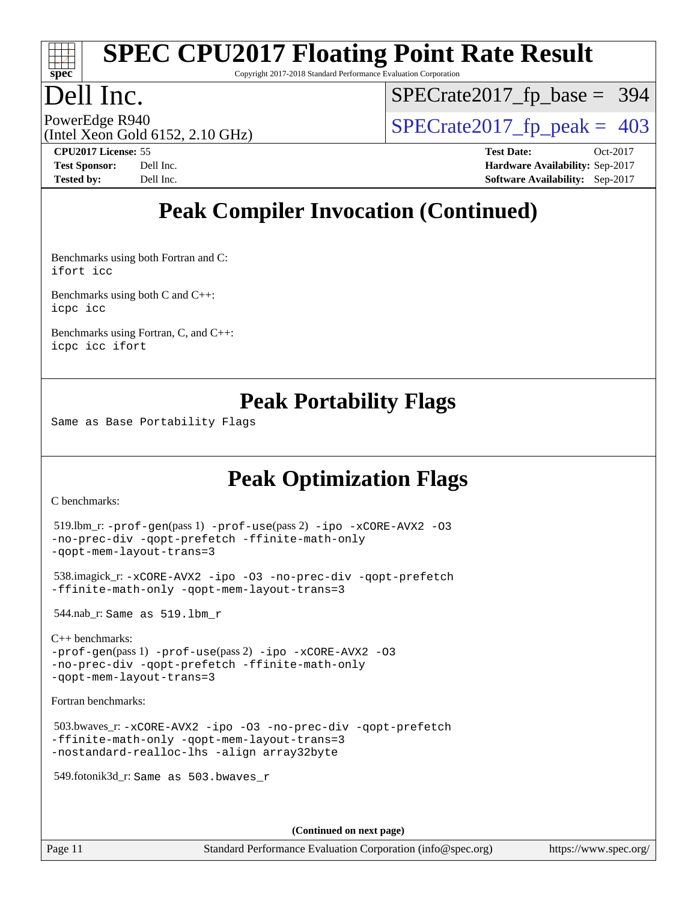

Copyright 2017-2018 Standard Performance Evaluation Corporation

### Dell Inc.

[SPECrate2017\\_fp\\_base =](http://www.spec.org/auto/cpu2017/Docs/result-fields.html#SPECrate2017fpbase) 394

(Intel Xeon Gold 6152, 2.10 GHz)

PowerEdge R940<br>(Intel Xeon Gold 6152, 2.10 GHz)  $\begin{array}{c|c}\n\text{SPECrate2017\_fp\_peak = 403}\n\end{array}$ 

**[CPU2017 License:](http://www.spec.org/auto/cpu2017/Docs/result-fields.html#CPU2017License)** 55 **[Test Date:](http://www.spec.org/auto/cpu2017/Docs/result-fields.html#TestDate)** Oct-2017 **[Test Sponsor:](http://www.spec.org/auto/cpu2017/Docs/result-fields.html#TestSponsor)** Dell Inc. **[Hardware Availability:](http://www.spec.org/auto/cpu2017/Docs/result-fields.html#HardwareAvailability)** Sep-2017 **[Tested by:](http://www.spec.org/auto/cpu2017/Docs/result-fields.html#Testedby)** Dell Inc. **[Software Availability:](http://www.spec.org/auto/cpu2017/Docs/result-fields.html#SoftwareAvailability)** Sep-2017

## **[Peak Compiler Invocation \(Continued\)](http://www.spec.org/auto/cpu2017/Docs/result-fields.html#PeakCompilerInvocation)**

[Benchmarks using both Fortran and C](http://www.spec.org/auto/cpu2017/Docs/result-fields.html#BenchmarksusingbothFortranandC): [ifort](http://www.spec.org/cpu2017/results/res2017q4/cpu2017-20171114-00641.flags.html#user_CC_FCpeak_intel_ifort_18.0_8111460550e3ca792625aed983ce982f94888b8b503583aa7ba2b8303487b4d8a21a13e7191a45c5fd58ff318f48f9492884d4413fa793fd88dd292cad7027ca) [icc](http://www.spec.org/cpu2017/results/res2017q4/cpu2017-20171114-00641.flags.html#user_CC_FCpeak_intel_icc_18.0_66fc1ee009f7361af1fbd72ca7dcefbb700085f36577c54f309893dd4ec40d12360134090235512931783d35fd58c0460139e722d5067c5574d8eaf2b3e37e92)

[Benchmarks using both C and C++](http://www.spec.org/auto/cpu2017/Docs/result-fields.html#BenchmarksusingbothCandCXX): [icpc](http://www.spec.org/cpu2017/results/res2017q4/cpu2017-20171114-00641.flags.html#user_CC_CXXpeak_intel_icpc_18.0_c510b6838c7f56d33e37e94d029a35b4a7bccf4766a728ee175e80a419847e808290a9b78be685c44ab727ea267ec2f070ec5dc83b407c0218cded6866a35d07) [icc](http://www.spec.org/cpu2017/results/res2017q4/cpu2017-20171114-00641.flags.html#user_CC_CXXpeak_intel_icc_18.0_66fc1ee009f7361af1fbd72ca7dcefbb700085f36577c54f309893dd4ec40d12360134090235512931783d35fd58c0460139e722d5067c5574d8eaf2b3e37e92)

[Benchmarks using Fortran, C, and C++:](http://www.spec.org/auto/cpu2017/Docs/result-fields.html#BenchmarksusingFortranCandCXX) [icpc](http://www.spec.org/cpu2017/results/res2017q4/cpu2017-20171114-00641.flags.html#user_CC_CXX_FCpeak_intel_icpc_18.0_c510b6838c7f56d33e37e94d029a35b4a7bccf4766a728ee175e80a419847e808290a9b78be685c44ab727ea267ec2f070ec5dc83b407c0218cded6866a35d07) [icc](http://www.spec.org/cpu2017/results/res2017q4/cpu2017-20171114-00641.flags.html#user_CC_CXX_FCpeak_intel_icc_18.0_66fc1ee009f7361af1fbd72ca7dcefbb700085f36577c54f309893dd4ec40d12360134090235512931783d35fd58c0460139e722d5067c5574d8eaf2b3e37e92) [ifort](http://www.spec.org/cpu2017/results/res2017q4/cpu2017-20171114-00641.flags.html#user_CC_CXX_FCpeak_intel_ifort_18.0_8111460550e3ca792625aed983ce982f94888b8b503583aa7ba2b8303487b4d8a21a13e7191a45c5fd58ff318f48f9492884d4413fa793fd88dd292cad7027ca)

### **[Peak Portability Flags](http://www.spec.org/auto/cpu2017/Docs/result-fields.html#PeakPortabilityFlags)**

Same as Base Portability Flags

## **[Peak Optimization Flags](http://www.spec.org/auto/cpu2017/Docs/result-fields.html#PeakOptimizationFlags)**

[C benchmarks](http://www.spec.org/auto/cpu2017/Docs/result-fields.html#Cbenchmarks):

```
 519.lbm_r: -prof-gen(pass 1) -prof-use(pass 2) -ipo -xCORE-AVX2 -O3
-no-prec-div -qopt-prefetch -ffinite-math-only
-qopt-mem-layout-trans=3
```

```
 538.imagick_r: -xCORE-AVX2 -ipo -O3 -no-prec-div -qopt-prefetch
-ffinite-math-only -qopt-mem-layout-trans=3
```
544.nab\_r: Same as 519.lbm\_r

```
C++ benchmarks: 
-prof-gen(pass 1) -prof-use(pass 2) -ipo -xCORE-AVX2 -O3
-no-prec-div -qopt-prefetch -ffinite-math-only
-qopt-mem-layout-trans=3
```
[Fortran benchmarks](http://www.spec.org/auto/cpu2017/Docs/result-fields.html#Fortranbenchmarks):

```
 503.bwaves_r: -xCORE-AVX2 -ipo -O3 -no-prec-div -qopt-prefetch
-ffinite-math-only -qopt-mem-layout-trans=3
-nostandard-realloc-lhs -align array32byte
```
549.fotonik3d\_r: Same as 503.bwaves\_r

**(Continued on next page)**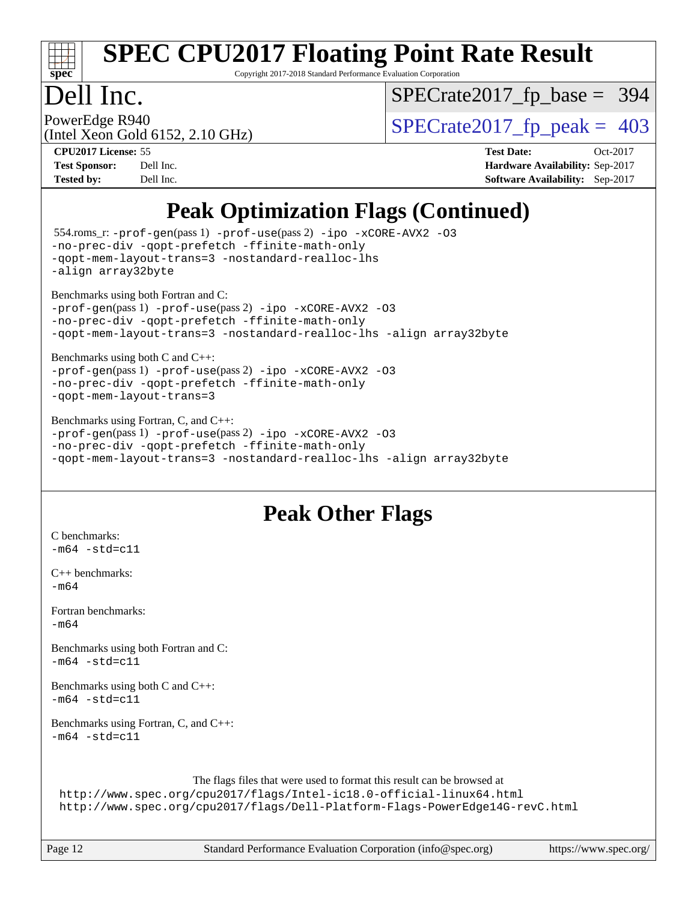

Copyright 2017-2018 Standard Performance Evaluation Corporation

### Dell Inc.

[SPECrate2017\\_fp\\_base =](http://www.spec.org/auto/cpu2017/Docs/result-fields.html#SPECrate2017fpbase) 394

(Intel Xeon Gold 6152, 2.10 GHz)

PowerEdge R940<br>  $\text{SPECrate2017\_fp\_peak} = 403$ 

**[CPU2017 License:](http://www.spec.org/auto/cpu2017/Docs/result-fields.html#CPU2017License)** 55 **[Test Date:](http://www.spec.org/auto/cpu2017/Docs/result-fields.html#TestDate)** Oct-2017 **[Test Sponsor:](http://www.spec.org/auto/cpu2017/Docs/result-fields.html#TestSponsor)** Dell Inc. **[Hardware Availability:](http://www.spec.org/auto/cpu2017/Docs/result-fields.html#HardwareAvailability)** Sep-2017 **[Tested by:](http://www.spec.org/auto/cpu2017/Docs/result-fields.html#Testedby)** Dell Inc. **[Software Availability:](http://www.spec.org/auto/cpu2017/Docs/result-fields.html#SoftwareAvailability)** Sep-2017

## **[Peak Optimization Flags \(Continued\)](http://www.spec.org/auto/cpu2017/Docs/result-fields.html#PeakOptimizationFlags)**

```
 554.roms_r: -prof-gen(pass 1) -prof-use(pass 2) -ipo -xCORE-AVX2 -O3
-no-prec-div -qopt-prefetch -ffinite-math-only
-qopt-mem-layout-trans=3 -nostandard-realloc-lhs
-align array32byte
Benchmarks using both Fortran and C: 
-prof-gen(pass 1) -prof-use(pass 2) -ipo -xCORE-AVX2 -O3
-no-prec-div -qopt-prefetch -ffinite-math-only
-qopt-mem-layout-trans=3 -nostandard-realloc-lhs -align array32byte
Benchmarks using both C and C++: 
-prof-gen(pass 1) -prof-use(pass 2) -ipo -xCORE-AVX2 -O3
-no-prec-div -qopt-prefetch -ffinite-math-only
-qopt-mem-layout-trans=3
Benchmarks using Fortran, C, and C++: 
-prof-gen(pass 1) -prof-use(pass 2) -ipo -xCORE-AVX2 -O3
-no-prec-div -qopt-prefetch -ffinite-math-only
-qopt-mem-layout-trans=3 -nostandard-realloc-lhs -align array32byte
```
### **[Peak Other Flags](http://www.spec.org/auto/cpu2017/Docs/result-fields.html#PeakOtherFlags)**

[C benchmarks](http://www.spec.org/auto/cpu2017/Docs/result-fields.html#Cbenchmarks):  $-m64 - std= c11$  $-m64 - std= c11$ 

[C++ benchmarks:](http://www.spec.org/auto/cpu2017/Docs/result-fields.html#CXXbenchmarks)  $-m64$ 

[Fortran benchmarks](http://www.spec.org/auto/cpu2017/Docs/result-fields.html#Fortranbenchmarks): [-m64](http://www.spec.org/cpu2017/results/res2017q4/cpu2017-20171114-00641.flags.html#user_FCpeak_intel_intel64_18.0_af43caccfc8ded86e7699f2159af6efc7655f51387b94da716254467f3c01020a5059329e2569e4053f409e7c9202a7efc638f7a6d1ffb3f52dea4a3e31d82ab)

[Benchmarks using both Fortran and C](http://www.spec.org/auto/cpu2017/Docs/result-fields.html#BenchmarksusingbothFortranandC):  $-m64 - std= c11$  $-m64 - std= c11$ 

[Benchmarks using both C and C++](http://www.spec.org/auto/cpu2017/Docs/result-fields.html#BenchmarksusingbothCandCXX):  $-m64 - std= c11$  $-m64 - std= c11$ 

[Benchmarks using Fortran, C, and C++:](http://www.spec.org/auto/cpu2017/Docs/result-fields.html#BenchmarksusingFortranCandCXX)  $-m64 - std= c11$  $-m64 - std= c11$ 

The flags files that were used to format this result can be browsed at

```
http://www.spec.org/cpu2017/flags/Intel-ic18.0-official-linux64.html
http://www.spec.org/cpu2017/flags/Dell-Platform-Flags-PowerEdge14G-revC.html
```
Page 12 Standard Performance Evaluation Corporation [\(info@spec.org\)](mailto:info@spec.org) <https://www.spec.org/>